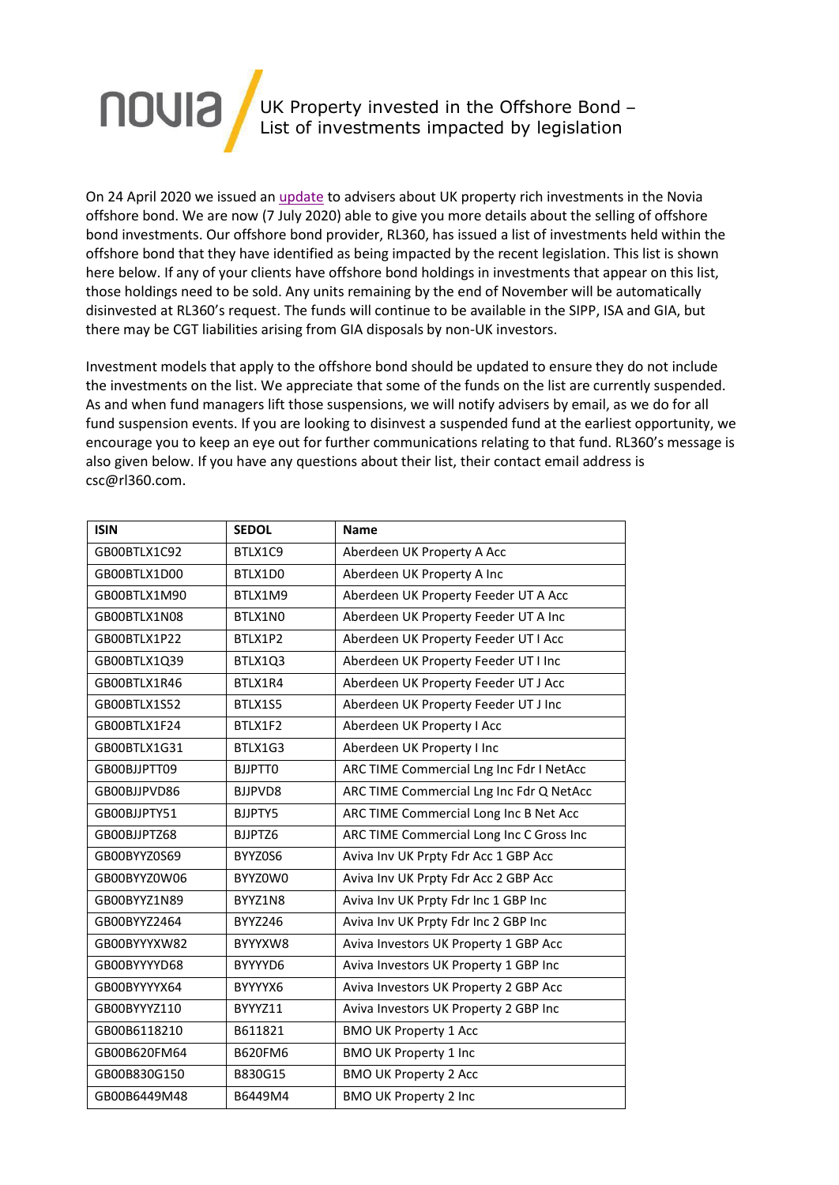

On 24 April 2020 we issued an [update](http://novia-info.co.uk/linkapp/cmaview.aspx?LinkID=pageid100212502znzzf%7Enhqxrq9z%7Ef%7Eqqxtzz%7Ez%7Ex%7Ef%7Ef%7Ef) to advisers about UK property rich investments in the Novia offshore bond. We are now (7 July 2020) able to give you more details about the selling of offshore bond investments. Our offshore bond provider, RL360, has issued a list of investments held within the offshore bond that they have identified as being impacted by the recent legislation. This list is shown here below. If any of your clients have offshore bond holdings in investments that appear on this list, those holdings need to be sold. Any units remaining by the end of November will be automatically disinvested at RL360's request. The funds will continue to be available in the SIPP, ISA and GIA, but there may be CGT liabilities arising from GIA disposals by non-UK investors.

Investment models that apply to the offshore bond should be updated to ensure they do not include the investments on the list. We appreciate that some of the funds on the list are currently suspended. As and when fund managers lift those suspensions, we will notify advisers by email, as we do for all fund suspension events. If you are looking to disinvest a suspended fund at the earliest opportunity, we encourage you to keep an eye out for further communications relating to that fund. RL360's message is also given below. If you have any questions about their list, their contact email address is [csc@rl360.com.](mailto:csc@rl360.com)

| <b>ISIN</b>  | <b>SEDOL</b>   | <b>Name</b>                              |
|--------------|----------------|------------------------------------------|
| GB00BTLX1C92 | BTLX1C9        | Aberdeen UK Property A Acc               |
| GB00BTLX1D00 | BTLX1D0        | Aberdeen UK Property A Inc               |
| GB00BTLX1M90 | BTLX1M9        | Aberdeen UK Property Feeder UT A Acc     |
| GB00BTLX1N08 | BTLX1NO        | Aberdeen UK Property Feeder UT A Inc     |
| GB00BTLX1P22 | BTLX1P2        | Aberdeen UK Property Feeder UT I Acc     |
| GB00BTLX1Q39 | BTLX1Q3        | Aberdeen UK Property Feeder UT I Inc     |
| GB00BTLX1R46 | BTLX1R4        | Aberdeen UK Property Feeder UT J Acc     |
| GB00BTLX1S52 | BTLX1S5        | Aberdeen UK Property Feeder UT J Inc     |
| GB00BTLX1F24 | BTLX1F2        | Aberdeen UK Property I Acc               |
| GB00BTLX1G31 | BTLX1G3        | Aberdeen UK Property I Inc               |
| GB00BJJPTT09 | <b>BJJPTT0</b> | ARC TIME Commercial Lng Inc Fdr I NetAcc |
| GB00BJJPVD86 | BJJPVD8        | ARC TIME Commercial Lng Inc Fdr Q NetAcc |
| GB00BJJPTY51 | BJJPTY5        | ARC TIME Commercial Long Inc B Net Acc   |
| GB00BJJPTZ68 | BJJPTZ6        | ARC TIME Commercial Long Inc C Gross Inc |
| GB00BYYZ0S69 | BYYZ0S6        | Aviva Inv UK Prpty Fdr Acc 1 GBP Acc     |
| GB00BYYZ0W06 | BYYZ0W0        | Aviva Inv UK Prpty Fdr Acc 2 GBP Acc     |
| GB00BYYZ1N89 | BYYZ1N8        | Aviva Inv UK Prpty Fdr Inc 1 GBP Inc     |
| GB00BYYZ2464 | <b>BYYZ246</b> | Aviva Inv UK Prpty Fdr Inc 2 GBP Inc     |
| GB00BYYYXW82 | BYYYXW8        | Aviva Investors UK Property 1 GBP Acc    |
| GB00BYYYYD68 | BYYYYD6        | Aviva Investors UK Property 1 GBP Inc    |
| GB00BYYYYX64 | BYYYYX6        | Aviva Investors UK Property 2 GBP Acc    |
| GB00BYYYZ110 | BYYYZ11        | Aviva Investors UK Property 2 GBP Inc    |
| GB00B6118210 | B611821        | <b>BMO UK Property 1 Acc</b>             |
| GB00B620FM64 | <b>B620FM6</b> | <b>BMO UK Property 1 Inc</b>             |
| GB00B830G150 | B830G15        | <b>BMO UK Property 2 Acc</b>             |
| GB00B6449M48 | B6449M4        | <b>BMO UK Property 2 Inc</b>             |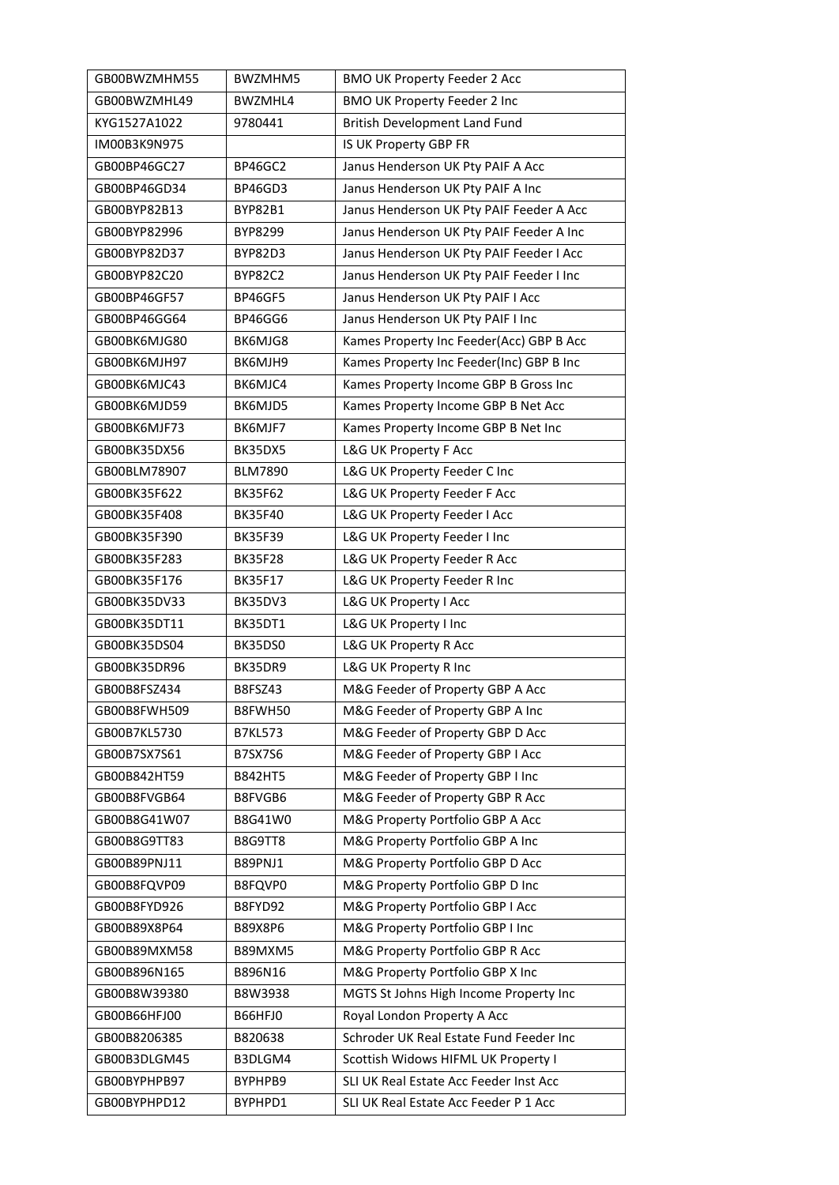| GB00BWZMHM55 | BWZMHM5        | <b>BMO UK Property Feeder 2 Acc</b>      |
|--------------|----------------|------------------------------------------|
| GB00BWZMHL49 | BWZMHL4        | BMO UK Property Feeder 2 Inc             |
| KYG1527A1022 | 9780441        | British Development Land Fund            |
| IM00B3K9N975 |                | IS UK Property GBP FR                    |
| GB00BP46GC27 | BP46GC2        | Janus Henderson UK Pty PAIF A Acc        |
| GB00BP46GD34 | BP46GD3        | Janus Henderson UK Pty PAIF A Inc        |
| GB00BYP82B13 | <b>BYP82B1</b> | Janus Henderson UK Pty PAIF Feeder A Acc |
| GB00BYP82996 | BYP8299        | Janus Henderson UK Pty PAIF Feeder A Inc |
| GB00BYP82D37 | BYP82D3        | Janus Henderson UK Pty PAIF Feeder I Acc |
| GB00BYP82C20 | <b>BYP82C2</b> | Janus Henderson UK Pty PAIF Feeder I Inc |
| GB00BP46GF57 | <b>BP46GF5</b> | Janus Henderson UK Pty PAIF I Acc        |
| GB00BP46GG64 | BP46GG6        | Janus Henderson UK Pty PAIF I Inc        |
| GB00BK6MJG80 | BK6MJG8        | Kames Property Inc Feeder(Acc) GBP B Acc |
| GB00BK6MJH97 | BK6MJH9        | Kames Property Inc Feeder(Inc) GBP B Inc |
| GB00BK6MJC43 | BK6MJC4        | Kames Property Income GBP B Gross Inc    |
| GB00BK6MJD59 | BK6MJD5        | Kames Property Income GBP B Net Acc      |
| GB00BK6MJF73 | BK6MJF7        | Kames Property Income GBP B Net Inc      |
| GB00BK35DX56 | BK35DX5        | L&G UK Property F Acc                    |
| GB00BLM78907 | <b>BLM7890</b> | L&G UK Property Feeder C Inc             |
| GB00BK35F622 | <b>BK35F62</b> | L&G UK Property Feeder F Acc             |
| GB00BK35F408 | <b>BK35F40</b> | L&G UK Property Feeder I Acc             |
| GB00BK35F390 | <b>BK35F39</b> | L&G UK Property Feeder I Inc             |
| GB00BK35F283 | <b>BK35F28</b> | L&G UK Property Feeder R Acc             |
| GB00BK35F176 | <b>BK35F17</b> | L&G UK Property Feeder R Inc             |
| GB00BK35DV33 | BK35DV3        | L&G UK Property I Acc                    |
| GB00BK35DT11 | BK35DT1        | L&G UK Property I Inc                    |
| GB00BK35DS04 | BK35DS0        | L&G UK Property R Acc                    |
| GB00BK35DR96 | BK35DR9        | L&G UK Property R Inc                    |
| GB00B8FSZ434 | B8FSZ43        | M&G Feeder of Property GBP A Acc         |
| GB00B8FWH509 | B8FWH50        | M&G Feeder of Property GBP A Inc         |
| GB00B7KL5730 | <b>B7KL573</b> | M&G Feeder of Property GBP D Acc         |
| GB00B7SX7S61 | <b>B7SX7S6</b> | M&G Feeder of Property GBP I Acc         |
| GB00B842HT59 | <b>B842HT5</b> | M&G Feeder of Property GBP I Inc         |
| GB00B8FVGB64 | B8FVGB6        | M&G Feeder of Property GBP R Acc         |
| GB00B8G41W07 | B8G41W0        | M&G Property Portfolio GBP A Acc         |
| GB00B8G9TT83 | B8G9TT8        | M&G Property Portfolio GBP A Inc         |
| GB00B89PNJ11 | B89PNJ1        | M&G Property Portfolio GBP D Acc         |
| GB00B8FQVP09 | B8FQVP0        | M&G Property Portfolio GBP D Inc         |
| GB00B8FYD926 | B8FYD92        | M&G Property Portfolio GBP I Acc         |
| GB00B89X8P64 | B89X8P6        | M&G Property Portfolio GBP I Inc         |
| GB00B89MXM58 | B89MXM5        | M&G Property Portfolio GBP R Acc         |
| GB00B896N165 | B896N16        | M&G Property Portfolio GBP X Inc         |
| GB00B8W39380 | B8W3938        | MGTS St Johns High Income Property Inc   |
| GB00B66HFJ00 | B66HFJ0        | Royal London Property A Acc              |
| GB00B8206385 | B820638        | Schroder UK Real Estate Fund Feeder Inc  |
| GB00B3DLGM45 | B3DLGM4        | Scottish Widows HIFML UK Property I      |
| GB00BYPHPB97 | BYPHPB9        | SLI UK Real Estate Acc Feeder Inst Acc   |
| GB00BYPHPD12 | BYPHPD1        | SLI UK Real Estate Acc Feeder P 1 Acc    |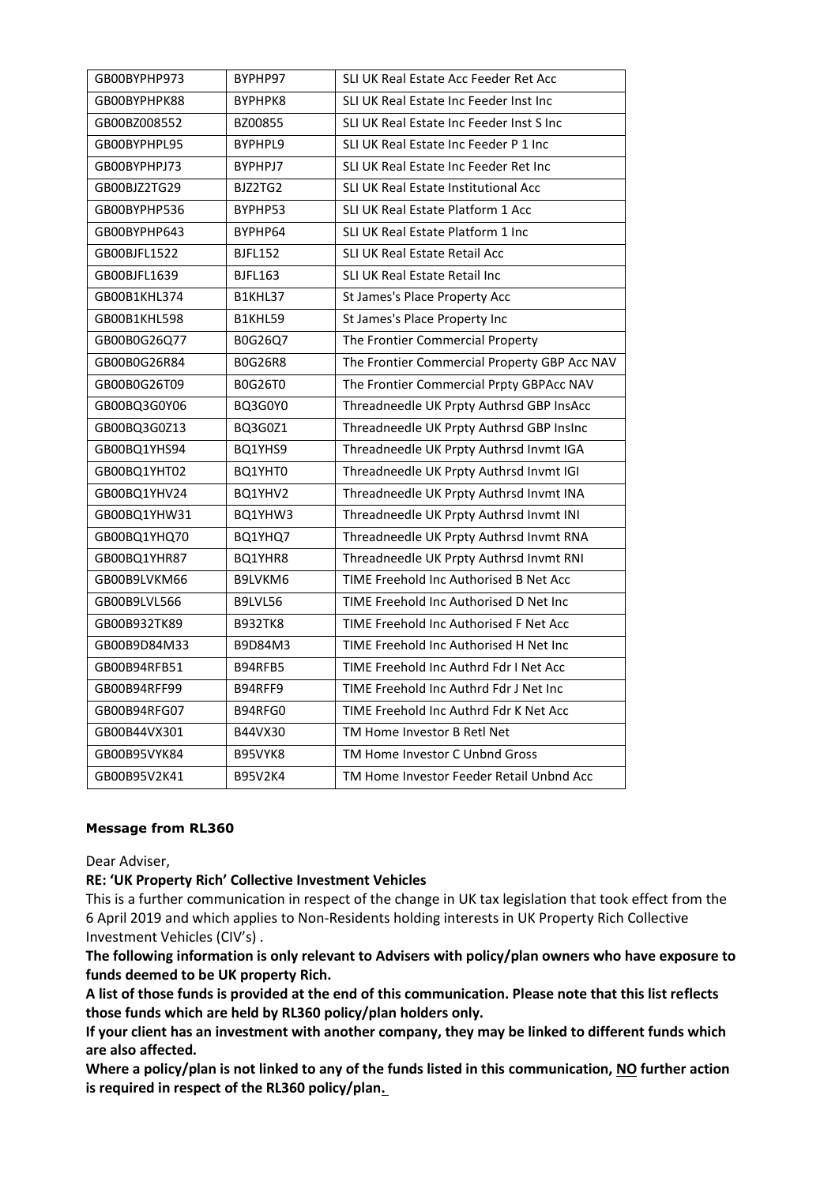| GB00BYPHP973 | BYPHP97        | SLI UK Real Estate Acc Feeder Ret Acc        |
|--------------|----------------|----------------------------------------------|
| GB00BYPHPK88 | BYPHPK8        | SLI UK Real Estate Inc Feeder Inst Inc       |
| GB00BZ008552 | BZ00855        | SLI UK Real Estate Inc Feeder Inst S Inc     |
| GB00BYPHPL95 | BYPHPL9        | SLI UK Real Estate Inc Feeder P 1 Inc        |
| GB00BYPHPJ73 | BYPHPJ7        | SLI UK Real Estate Inc Feeder Ret Inc        |
| GB00BJZ2TG29 | BJZ2TG2        | SLI UK Real Estate Institutional Acc         |
| GB00BYPHP536 | BYPHP53        | SLI UK Real Estate Platform 1 Acc            |
| GB00BYPHP643 | BYPHP64        | SLI UK Real Estate Platform 1 Inc            |
| GB00BJFL1522 | <b>BJFL152</b> | SLI UK Real Estate Retail Acc                |
| GB00BJFL1639 | <b>BJFL163</b> | SLI UK Real Estate Retail Inc                |
| GB00B1KHL374 | B1KHL37        | St James's Place Property Acc                |
| GB00B1KHL598 | B1KHL59        | St James's Place Property Inc                |
| GB00B0G26Q77 | B0G26Q7        | The Frontier Commercial Property             |
| GB00B0G26R84 | <b>BOG26R8</b> | The Frontier Commercial Property GBP Acc NAV |
| GB00B0G26T09 | <b>B0G26T0</b> | The Frontier Commercial Prpty GBPAcc NAV     |
| GB00BQ3G0Y06 | BQ3G0Y0        | Threadneedle UK Prpty Authrsd GBP InsAcc     |
| GB00BQ3G0Z13 | BQ3G0Z1        | Threadneedle UK Prpty Authrsd GBP Insinc     |
| GB00BQ1YHS94 | BQ1YHS9        | Threadneedle UK Prpty Authrsd Invmt IGA      |
| GB00BQ1YHT02 | BQ1YHT0        | Threadneedle UK Prpty Authrsd Invmt IGI      |
| GB00BQ1YHV24 | BQ1YHV2        | Threadneedle UK Prpty Authrsd Invmt INA      |
| GB00BQ1YHW31 | BQ1YHW3        | Threadneedle UK Prpty Authrsd Invmt INI      |
| GB00BQ1YHQ70 | BQ1YHQ7        | Threadneedle UK Prpty Authrsd Invmt RNA      |
| GB00BQ1YHR87 | BQ1YHR8        | Threadneedle UK Prpty Authrsd Invmt RNI      |
| GB00B9LVKM66 | B9LVKM6        | TIME Freehold Inc Authorised B Net Acc       |
| GB00B9LVL566 | B9LVL56        | TIME Freehold Inc Authorised D Net Inc       |
| GB00B932TK89 | <b>B932TK8</b> | TIME Freehold Inc Authorised F Net Acc       |
| GB00B9D84M33 | B9D84M3        | TIME Freehold Inc Authorised H Net Inc       |
| GB00B94RFB51 | B94RFB5        | TIME Freehold Inc Authrd Fdr I Net Acc       |
| GB00B94RFF99 | B94RFF9        | TIME Freehold Inc Authrd Fdr J Net Inc       |
| GB00B94RFG07 | B94RFG0        | TIME Freehold Inc Authrd Fdr K Net Acc       |
| GB00B44VX301 | B44VX30        | TM Home Investor B Retl Net                  |
| GB00B95VYK84 | B95VYK8        | TM Home Investor C Unbnd Gross               |
| GB00B95V2K41 | <b>B95V2K4</b> | TM Home Investor Feeder Retail Unbnd Acc     |

### **Message from RL360**

Dear Adviser,

### **RE: 'UK Property Rich' Collective Investment Vehicles**

This is a further communication in respect of the change in UK tax legislation that took effect from the 6 April 2019 and which applies to Non-Residents holding interests in UK Property Rich Collective Investment Vehicles (CIV's) .

**The following information is only relevant to Advisers with policy/plan owners who have exposure to funds deemed to be UK property Rich.**

**A list of those funds is provided at the end of this communication. Please note that this list reflects those funds which are held by RL360 policy/plan holders only.**

**If your client has an investment with another company, they may be linked to different funds which are also affected.**

**Where a policy/plan is not linked to any of the funds listed in this communication, NO further action is required in respect of the RL360 policy/plan.**